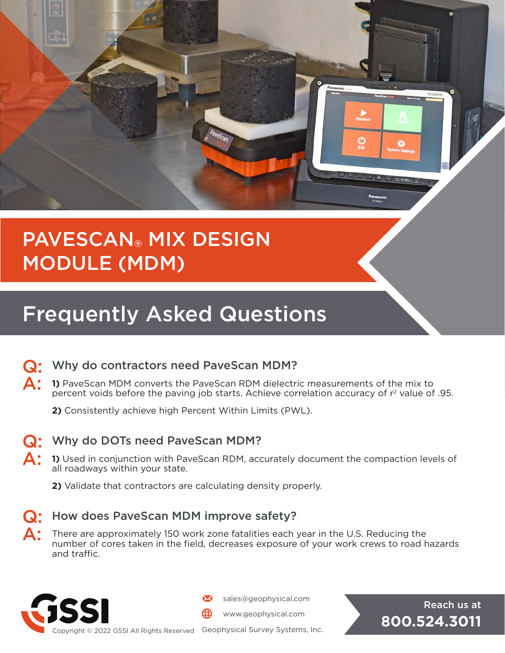

## PAVESCAN® MIX DESIGN MODULE (MDM)

# Frequently Asked Questions



### Q: Why do contractors need PaveScan MDM?

- A: **1)** PaveScan MDM converts the PaveScan RDM dielectric measurements of the mix to percent voids before the paving job starts. Achieve correlation accuracy of  $r<sup>2</sup>$  value of .95.
	- **2)** Consistently achieve high Percent Within Limits (PWL).



#### Q: Why do DOTs need PaveScan MDM?

- **A:** 1) Used in conjunction with PaveScan RDM, accurately document the compaction levels of all roadways within your state.
	- **2)** Validate that contractors are calculating density properly.



#### Q: How does PaveScan MDM improve safety?

 $\blacktriangle$ : There are approximately 150 work zone fatalities each year in the U.S. Reducing the number of cores taken in the field, decreases exposure of your work crews to road hazards and traffic.



sales@geophysical.com **Reach us at all and Reach us at** 

www.geophysical.com

**800.524.3011**